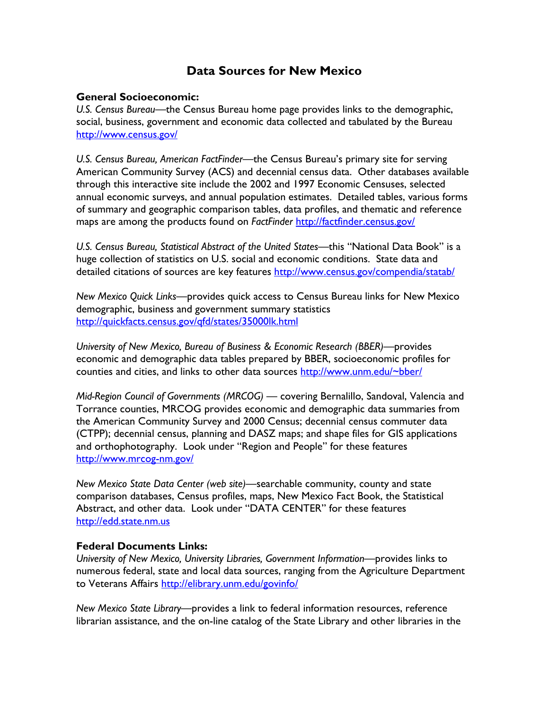# **Data Sources for New Mexico**

### **General Socioeconomic:**

*U.S. Census Bureau*—the Census Bureau home page provides links to the demographic, social, business, government and economic data collected and tabulated by the Bureau <http://www.census.gov/>

*U.S. Census Bureau, American FactFinder—*the Census Bureau's primary site for serving American Community Survey (ACS) and decennial census data. Other databases available through this interactive site include the 2002 and 1997 Economic Censuses, selected annual economic surveys, and annual population estimates. Detailed tables, various forms of summary and geographic comparison tables, data profiles, and thematic and reference maps are among the products found on *FactFinder* <http://factfinder.census.gov/>

*U.S. Census Bureau, Statistical Abstract of the United States—*this "National Data Book" is a huge collection of statistics on U.S. social and economic conditions. State data and detailed citations of sources are key features<http://www.census.gov/compendia/statab/>

*New Mexico Quick Links—*provides quick access to Census Bureau links for New Mexico demographic, business and government summary statistics <http://quickfacts.census.gov/qfd/states/35000lk.html>

*University of New Mexico, Bureau of Business & Economic Research (BBER)—*provides economic and demographic data tables prepared by BBER, socioeconomic profiles for counties and cities, and links to other data sources [http://www.unm.edu/~bber/](http://www.unm.edu/%7Ebber/)

*Mid-Region Council of Governments (MRCOG)* — covering Bernalillo, Sandoval, Valencia and Torrance counties, MRCOG provides economic and demographic data summaries from the American Community Survey and 2000 Census; decennial census commuter data (CTPP); decennial census, planning and DASZ maps; and shape files for GIS applications and orthophotography. Look under "Region and People" for these features <http://www.mrcog-nm.gov/>

*New Mexico State Data Center (web site)*—searchable community, county and state comparison databases, Census profiles, maps, New Mexico Fact Book, the Statistical Abstract, and other data. Look under "DATA CENTER" for these features [http://edd.state.nm.us](http://edd.state.nm.us/)

#### **Federal Documents Links:**

*University of New Mexico, University Libraries, Government Information—*provides links to numerous federal, state and local data sources, ranging from the Agriculture Department to Veterans Affairs<http://elibrary.unm.edu/govinfo/>

*New Mexico State Library—*provides a link to federal information resources, reference librarian assistance, and the on-line catalog of the State Library and other libraries in the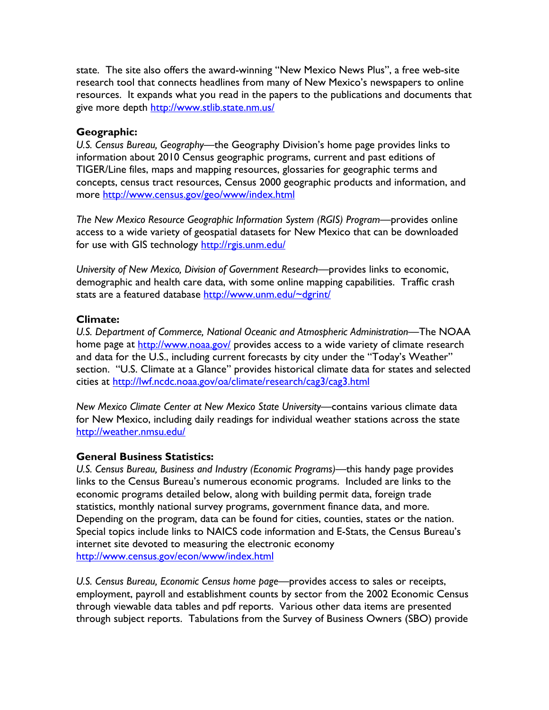state. The site also offers the award-winning "New Mexico News Plus", a free web-site research tool that connects headlines from many of New Mexico's newspapers to online resources. It expands what you read in the papers to the publications and documents that give more depth<http://www.stlib.state.nm.us/>

## **Geographic:**

*U.S. Census Bureau, Geography*—the Geography Division's home page provides links to information about 2010 Census geographic programs, current and past editions of TIGER/Line files, maps and mapping resources, glossaries for geographic terms and concepts, census tract resources, Census 2000 geographic products and information, and more <http://www.census.gov/geo/www/index.html>

*The New Mexico Resource Geographic Information System (RGIS) Program—*provides online access to a wide variety of geospatial datasets for New Mexico that can be downloaded for use with GIS technology<http://rgis.unm.edu/>

*University of New Mexico, Division of Government Research—*provides links to economic, demographic and health care data, with some online mapping capabilities. Traffic crash stats are a featured database [http://www.unm.edu/~dgrint/](http://www.unm.edu/%7Edgrint/)

## **Climate:**

*U.S. Department of Commerce, National Oceanic and Atmospheric Administration*—The NOAA home page at <http://www.noaa.gov/> provides access to a wide variety of climate research and data for the U.S., including current forecasts by city under the "Today's Weather" section. "U.S. Climate at a Glance" provides historical climate data for states and selected cities at <http://lwf.ncdc.noaa.gov/oa/climate/research/cag3/cag3.html>

*New Mexico Climate Center at New Mexico State University*—contains various climate data for New Mexico, including daily readings for individual weather stations across the state <http://weather.nmsu.edu/>

# **General Business Statistics:**

*U.S. Census Bureau, Business and Industry (Economic Programs)*—this handy page provides links to the Census Bureau's numerous economic programs. Included are links to the economic programs detailed below, along with building permit data, foreign trade statistics, monthly national survey programs, government finance data, and more. Depending on the program, data can be found for cities, counties, states or the nation. Special topics include links to NAICS code information and E-Stats, the Census Bureau's internet site devoted to measuring the electronic economy <http://www.census.gov/econ/www/index.html>

*U.S. Census Bureau, Economic Census home page—*provides access to sales or receipts, employment, payroll and establishment counts by sector from the 2002 Economic Census through viewable data tables and pdf reports. Various other data items are presented through subject reports. Tabulations from the Survey of Business Owners (SBO) provide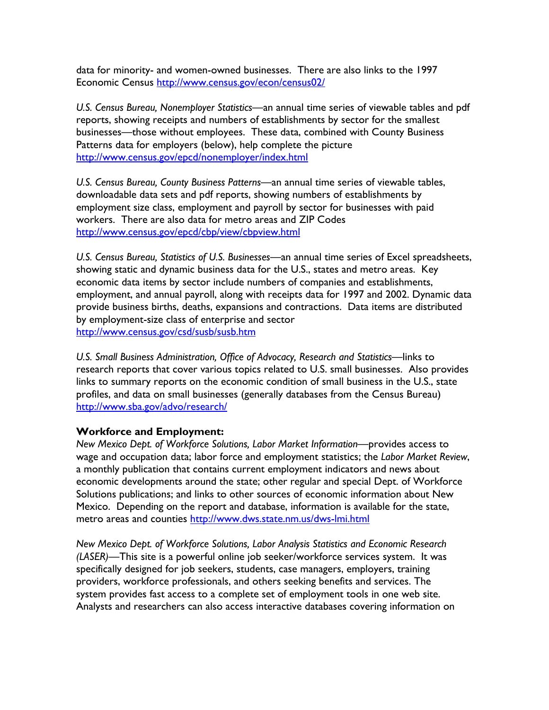data for minority- and women-owned businesses. There are also links to the 1997 Economic Census <http://www.census.gov/econ/census02/>

*U.S. Census Bureau, Nonemployer Statistics—*an annual time series of viewable tables and pdf reports, showing receipts and numbers of establishments by sector for the smallest businesses—those without employees. These data, combined with County Business Patterns data for employers (below), help complete the picture <http://www.census.gov/epcd/nonemployer/index.html>

*U.S. Census Bureau, County Business Patterns—*an annual time series of viewable tables, downloadable data sets and pdf reports, showing numbers of establishments by employment size class, employment and payroll by sector for businesses with paid workers. There are also data for metro areas and ZIP Codes <http://www.census.gov/epcd/cbp/view/cbpview.html>

*U.S. Census Bureau, Statistics of U.S. Businesses—*an annual time series of Excel spreadsheets, showing static and dynamic business data for the U.S., states and metro areas. Key economic data items by sector include numbers of companies and establishments, employment, and annual payroll, along with receipts data for 1997 and 2002. Dynamic data provide business births, deaths, expansions and contractions. Data items are distributed by employment-size class of enterprise and sector <http://www.census.gov/csd/susb/susb.htm>

*U.S. Small Business Administration, Office of Advocacy, Research and Statistics*—links to research reports that cover various topics related to U.S. small businesses. Also provides links to summary reports on the economic condition of small business in the U.S., state profiles, and data on small businesses (generally databases from the Census Bureau) <http://www.sba.gov/advo/research/>

# **Workforce and Employment:**

*New Mexico Dept. of Workforce Solutions, Labor Market Information*—provides access to wage and occupation data; labor force and employment statistics; the *Labor Market Review*, a monthly publication that contains current employment indicators and news about economic developments around the state; other regular and special Dept. of Workforce Solutions publications; and links to other sources of economic information about New Mexico. Depending on the report and database, information is available for the state, metro areas and counties<http://www.dws.state.nm.us/dws-lmi.html>

*New Mexico Dept. of Workforce Solutions, Labor Analysis Statistics and Economic Research (LASER)*—This site is a powerful online job seeker/workforce services system. It was specifically designed for job seekers, students, case managers, employers, training providers, workforce professionals, and others seeking benefits and services. The system provides fast access to a complete set of employment tools in one web site. Analysts and researchers can also access interactive databases covering information on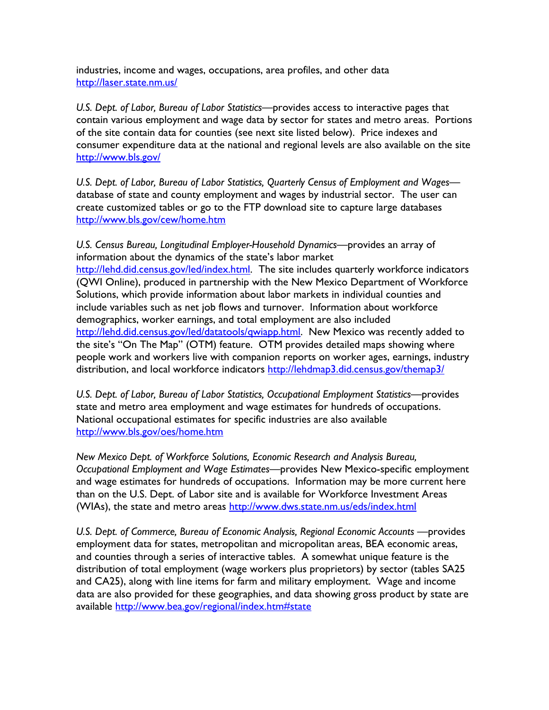industries, income and wages, occupations, area profiles, and other data <http://laser.state.nm.us/>

*U.S. Dept. of Labor, Bureau of Labor Statistics*—provides access to interactive pages that contain various employment and wage data by sector for states and metro areas. Portions of the site contain data for counties (see next site listed below). Price indexes and consumer expenditure data at the national and regional levels are also available on the site <http://www.bls.gov/>

*U.S. Dept. of Labor, Bureau of Labor Statistics, Quarterly Census of Employment and Wages* database of state and county employment and wages by industrial sector. The user can create customized tables or go to the FTP download site to capture large databases <http://www.bls.gov/cew/home.htm>

*U.S. Census Bureau, Longitudinal Employer-Household Dynamics*—provides an array of information about the dynamics of the state's labor market <http://lehd.did.census.gov/led/index.html>. The site includes quarterly workforce indicators (QWI Online), produced in partnership with the New Mexico Department of Workforce Solutions, which provide information about labor markets in individual counties and include variables such as net job flows and turnover. Information about workforce demographics, worker earnings, and total employment are also included <http://lehd.did.census.gov/led/datatools/qwiapp.html>. New Mexico was recently added to the site's "On The Map" (OTM) feature. OTM provides detailed maps showing where people work and workers live with companion reports on worker ages, earnings, industry distribution, and local workforce indicators <http://lehdmap3.did.census.gov/themap3/>

*U.S. Dept. of Labor, Bureau of Labor Statistics, Occupational Employment Statistics—*provides state and metro area employment and wage estimates for hundreds of occupations. National occupational estimates for specific industries are also available <http://www.bls.gov/oes/home.htm>

*New Mexico Dept. of Workforce Solutions, Economic Research and Analysis Bureau, Occupational Employment and Wage Estimates—*provides New Mexico-specific employment and wage estimates for hundreds of occupations. Information may be more current here than on the U.S. Dept. of Labor site and is available for Workforce Investment Areas (WIAs), the state and metro areas <http://www.dws.state.nm.us/eds/index.html>

*U.S. Dept. of Commerce, Bureau of Economic Analysis, Regional Economic Accounts* —provides employment data for states, metropolitan and micropolitan areas, BEA economic areas, and counties through a series of interactive tables. A somewhat unique feature is the distribution of total employment (wage workers plus proprietors) by sector (tables SA25 and CA25), along with line items for farm and military employment. Wage and income data are also provided for these geographies, and data showing gross product by state are available <http://www.bea.gov/regional/index.htm#state>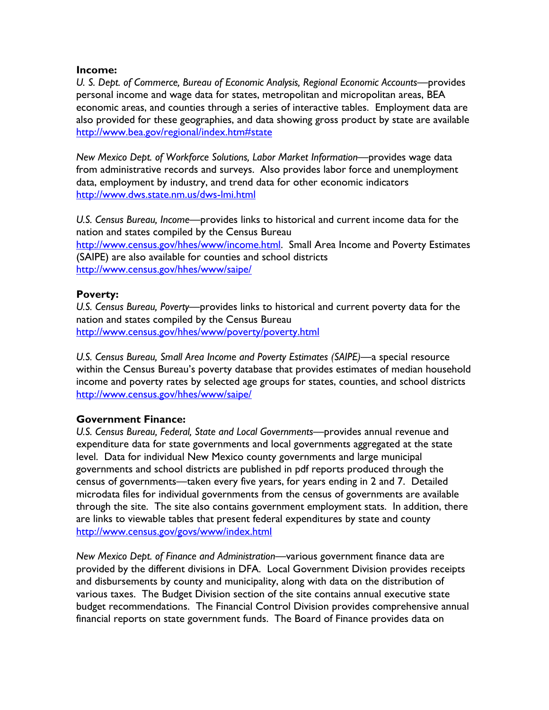### **Income:**

*U. S. Dept. of Commerce, Bureau of Economic Analysis, Regional Economic Accounts*—provides personal income and wage data for states, metropolitan and micropolitan areas, BEA economic areas, and counties through a series of interactive tables. Employment data are also provided for these geographies, and data showing gross product by state are available <http://www.bea.gov/regional/index.htm#state>

*New Mexico Dept. of Workforce Solutions, Labor Market Information*—provides wage data from administrative records and surveys. Also provides labor force and unemployment data, employment by industry, and trend data for other economic indicators <http://www.dws.state.nm.us/dws-lmi.html>

*U.S. Census Bureau, Income—*provides links to historical and current income data for the nation and states compiled by the Census Bureau <http://www.census.gov/hhes/www/income.html>. Small Area Income and Poverty Estimates (SAIPE) are also available for counties and school districts <http://www.census.gov/hhes/www/saipe/>

# **Poverty:**

*U.S. Census Bureau, Poverty—*provides links to historical and current poverty data for the nation and states compiled by the Census Bureau <http://www.census.gov/hhes/www/poverty/poverty.html>

*U.S. Census Bureau, Small Area Income and Poverty Estimates (SAIPE)—*a special resource within the Census Bureau's poverty database that provides estimates of median household income and poverty rates by selected age groups for states, counties, and school districts <http://www.census.gov/hhes/www/saipe/>

# **Government Finance:**

*U.S. Census Bureau, Federal, State and Local Governments*—provides annual revenue and expenditure data for state governments and local governments aggregated at the state level. Data for individual New Mexico county governments and large municipal governments and school districts are published in pdf reports produced through the census of governments—taken every five years, for years ending in 2 and 7. Detailed microdata files for individual governments from the census of governments are available through the site. The site also contains government employment stats. In addition, there are links to viewable tables that present federal expenditures by state and county <http://www.census.gov/govs/www/index.html>

*New Mexico Dept. of Finance and Administration*—various government finance data are provided by the different divisions in DFA. Local Government Division provides receipts and disbursements by county and municipality, along with data on the distribution of various taxes. The Budget Division section of the site contains annual executive state budget recommendations. The Financial Control Division provides comprehensive annual financial reports on state government funds. The Board of Finance provides data on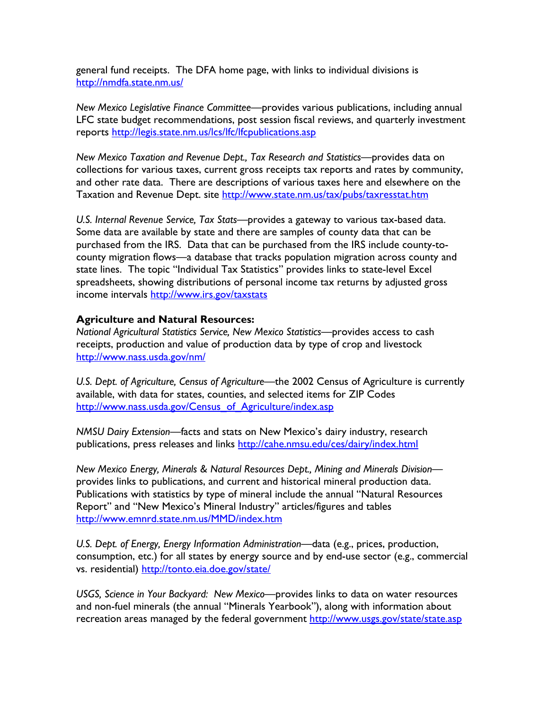general fund receipts. The DFA home page, with links to individual divisions is <http://nmdfa.state.nm.us/>

*New Mexico Legislative Finance Committee*—provides various publications, including annual LFC state budget recommendations, post session fiscal reviews, and quarterly investment reports <http://legis.state.nm.us/lcs/lfc/lfcpublications.asp>

*New Mexico Taxation and Revenue Dept., Tax Research and Statistics—*provides data on collections for various taxes, current gross receipts tax reports and rates by community, and other rate data. There are descriptions of various taxes here and elsewhere on the Taxation and Revenue Dept. site <http://www.state.nm.us/tax/pubs/taxresstat.htm>

*U.S. Internal Revenue Service, Tax Stats—*provides a gateway to various tax-based data. Some data are available by state and there are samples of county data that can be purchased from the IRS. Data that can be purchased from the IRS include county-tocounty migration flows—a database that tracks population migration across county and state lines. The topic "Individual Tax Statistics" provides links to state-level Excel spreadsheets, showing distributions of personal income tax returns by adjusted gross income intervals <http://www.irs.gov/taxstats>

## **Agriculture and Natural Resources:**

*National Agricultural Statistics Service, New Mexico Statistics—*provides access to cash receipts, production and value of production data by type of crop and livestock <http://www.nass.usda.gov/nm/>

*U.S. Dept. of Agriculture, Census of Agriculture*—the 2002 Census of Agriculture is currently available, with data for states, counties, and selected items for ZIP Codes [http://www.nass.usda.gov/Census\\_of\\_Agriculture/index.asp](http://www.nass.usda.gov/Census_of_Agriculture/index.asp)

*NMSU Dairy Extension*—facts and stats on New Mexico's dairy industry, research publications, press releases and links<http://cahe.nmsu.edu/ces/dairy/index.html>

*New Mexico Energy, Minerals & Natural Resources Dept., Mining and Minerals Division* provides links to publications, and current and historical mineral production data. Publications with statistics by type of mineral include the annual "Natural Resources Report" and "New Mexico's Mineral Industry" articles/figures and tables <http://www.emnrd.state.nm.us/MMD/index.htm>

*U.S. Dept. of Energy, Energy Information Administration*—data (e.g., prices, production, consumption, etc.) for all states by energy source and by end-use sector (e.g., commercial vs. residential)<http://tonto.eia.doe.gov/state/>

*USGS, Science in Your Backyard: New Mexico*—provides links to data on water resources and non-fuel minerals (the annual "Minerals Yearbook"), along with information about recreation areas managed by the federal government<http://www.usgs.gov/state/state.asp>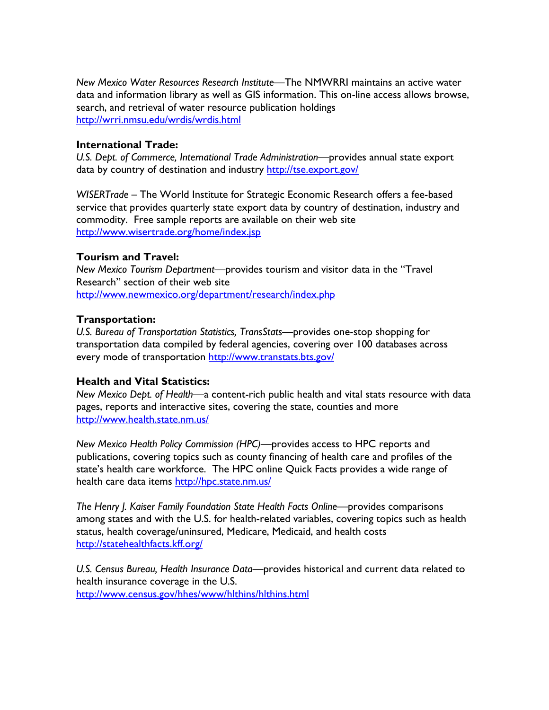*New Mexico Water Resources Research Institute*—The NMWRRI maintains an active water data and information library as well as GIS information. This on-line access allows browse, search, and retrieval of water resource publication holdings <http://wrri.nmsu.edu/wrdis/wrdis.html>

#### **International Trade:**

*U.S. Dept. of Commerce, International Trade Administration—*provides annual state export data by country of destination and industry <http://tse.export.gov/>

*WISERTrade* – The World Institute for Strategic Economic Research offers a fee-based service that provides quarterly state export data by country of destination, industry and commodity. Free sample reports are available on their web site <http://www.wisertrade.org/home/index.jsp>

## **Tourism and Travel:**

*New Mexico Tourism Department—*provides tourism and visitor data in the "Travel Research" section of their web site <http://www.newmexico.org/department/research/index.php>

## **Transportation:**

*U.S. Bureau of Transportation Statistics, TransStats—*provides one-stop shopping for transportation data compiled by federal agencies, covering over 100 databases across every mode of transportation <http://www.transtats.bts.gov/>

#### **Health and Vital Statistics:**

*New Mexico Dept. of Health—*a content-rich public health and vital stats resource with data pages, reports and interactive sites, covering the state, counties and more <http://www.health.state.nm.us/>

*New Mexico Health Policy Commission (HPC)—*provides access to HPC reports and publications, covering topics such as county financing of health care and profiles of the state's health care workforce. The HPC online Quick Facts provides a wide range of health care data items<http://hpc.state.nm.us/>

*The Henry J. Kaiser Family Foundation State Health Facts Online—*provides comparisons among states and with the U.S. for health-related variables, covering topics such as health status, health coverage/uninsured, Medicare, Medicaid, and health costs <http://statehealthfacts.kff.org/>

*U.S. Census Bureau, Health Insurance Data—*provides historical and current data related to health insurance coverage in the U.S. <http://www.census.gov/hhes/www/hlthins/hlthins.html>